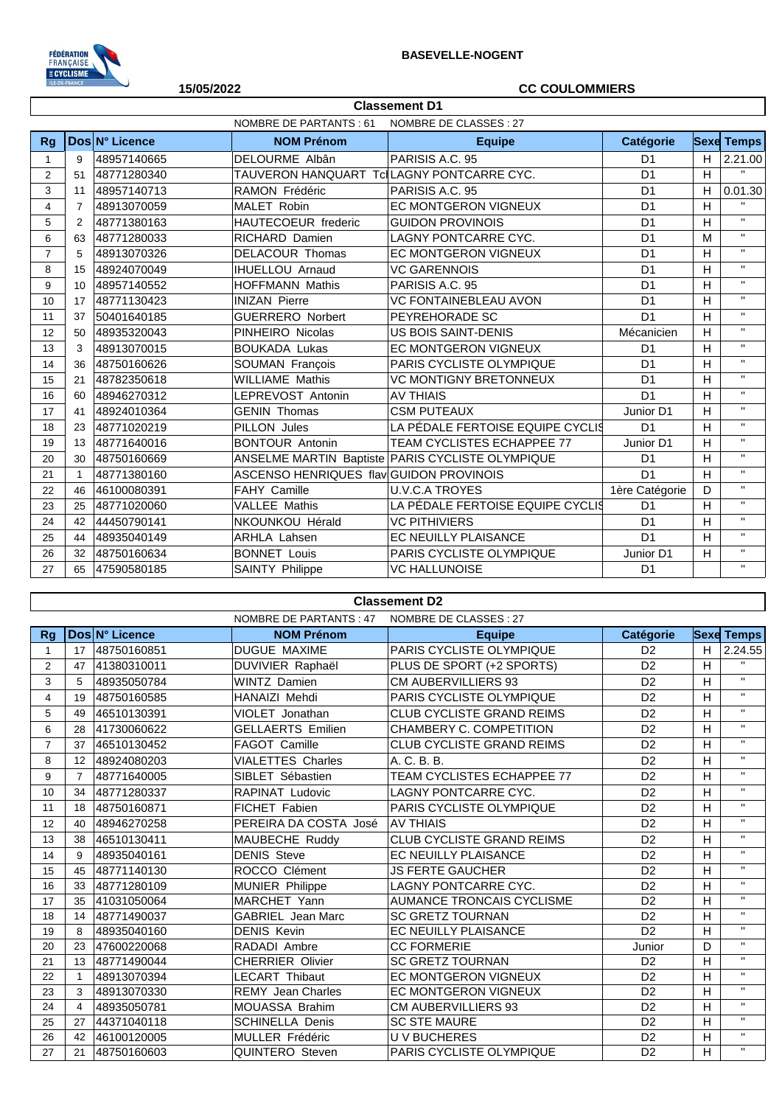

## **15/05/2022 CC COULOMMIERS**

| NOMBRE DE PARTANTS: 61<br>NOMBRE DE CLASSES : 27 |                |                |                                          |                                                  |                  |   |                   |
|--------------------------------------------------|----------------|----------------|------------------------------------------|--------------------------------------------------|------------------|---|-------------------|
| <b>Rg</b>                                        |                | Dos N° Licence | <b>NOM Prénom</b>                        | <b>Equipe</b>                                    | <b>Catégorie</b> |   | <b>Sexe Temps</b> |
| 1                                                | 9              | 48957140665    | DELOURME Albân                           | PARISIS A.C. 95                                  | D <sub>1</sub>   | H | 2.21.00           |
| 2                                                | 51             | 48771280340    | TAUVERON HANQUART TdLAGNY PONTCARRE CYC. |                                                  | D <sub>1</sub>   | H | $\mathbf{u}$      |
| 3                                                | 11             | 48957140713    | <b>RAMON Frédéric</b>                    | PARISIS A.C. 95                                  | D <sub>1</sub>   | H | 0.01.30           |
| 4                                                | $\overline{7}$ | 48913070059    | MALET Robin                              | EC MONTGERON VIGNEUX                             | D <sub>1</sub>   | H | $\mathbf{H}$      |
| 5                                                | 2              | 48771380163    | <b>HAUTECOEUR</b> frederic               | <b>GUIDON PROVINOIS</b>                          | D <sub>1</sub>   | H | $\mathbf{H}$      |
| 6                                                | 63             | 48771280033    | <b>RICHARD Damien</b>                    | <b>LAGNY PONTCARRE CYC.</b>                      | D <sub>1</sub>   | M | $\mathbf{H}$      |
| $\overline{7}$                                   | 5              | 48913070326    | <b>DELACOUR Thomas</b>                   | <b>EC MONTGERON VIGNEUX</b>                      | D <sub>1</sub>   | H | $\mathbf{H}$      |
| 8                                                | 15             | 48924070049    | <b>IHUELLOU Arnaud</b>                   | <b>VC GARENNOIS</b>                              | D <sub>1</sub>   | H | $\mathbf{H}$      |
| 9                                                | 10             | 48957140552    | <b>HOFFMANN Mathis</b>                   | PARISIS A.C. 95                                  | D <sub>1</sub>   | H | $\mathbf{H}$      |
| 10                                               | 17             | 48771130423    | <b>INIZAN Pierre</b>                     | <b>VC FONTAINEBLEAU AVON</b>                     | D <sub>1</sub>   | H | $\mathbf{H}$      |
| 11                                               | 37             | 50401640185    | <b>GUERRERO Norbert</b>                  | PEYREHORADE SC                                   | D <sub>1</sub>   | H | $\mathbf{H}$      |
| 12                                               | 50             | 48935320043    | PINHEIRO Nicolas                         | <b>US BOIS SAINT-DENIS</b>                       | Mécanicien       | H | $\mathbf{H}$      |
| 13                                               | 3              | 48913070015    | <b>BOUKADA Lukas</b>                     | EC MONTGERON VIGNEUX                             | D <sub>1</sub>   | H | $\mathbf{H}$      |
| 14                                               | 36             | 48750160626    | SOUMAN François                          | PARIS CYCLISTE OLYMPIQUE                         | D <sub>1</sub>   | H | $\mathbf{H}$      |
| 15                                               | 21             | 48782350618    | <b>WILLIAME Mathis</b>                   | <b>VC MONTIGNY BRETONNEUX</b>                    | D <sub>1</sub>   | H | $\mathbf{H}$      |
| 16                                               | 60             | 48946270312    | LEPREVOST Antonin                        | <b>AV THIAIS</b>                                 | D <sub>1</sub>   | H | $\mathbf{H}$      |
| 17                                               | 41             | 48924010364    | <b>GENIN Thomas</b>                      | <b>CSM PUTEAUX</b>                               | Junior D1        | H | $\mathbf{H}$      |
| 18                                               | 23             | 48771020219    | PILLON Jules                             | LA PÉDALE FERTOISE EQUIPE CYCLIS                 | D <sub>1</sub>   | H | $\mathbf{H}$      |
| 19                                               | 13             | 48771640016    | <b>BONTOUR Antonin</b>                   | TEAM CYCLISTES ECHAPPEE 77                       | Junior D1        | H | $\mathbf{H}$      |
| 20                                               | 30             | 48750160669    |                                          | ANSELME MARTIN Baptiste PARIS CYCLISTE OLYMPIQUE | D <sub>1</sub>   | H | $\mathbf{H}$      |
| 21                                               | 1              | 48771380160    | ASCENSO HENRIQUES flav GUIDON PROVINOIS  |                                                  | D <sub>1</sub>   | H | $\mathbf{H}$      |
| 22                                               | 46             | 46100080391    | <b>FAHY Camille</b>                      | <b>U.V.C.A TROYES</b>                            | 1ère Catégorie   | D | $\mathbf{H}$      |
| 23                                               | 25             | 48771020060    | <b>VALLEE Mathis</b>                     | LA PÉDALE FERTOISE EQUIPE CYCLIS                 | D <sub>1</sub>   | H | $\mathbf{H}$      |
| 24                                               | 42             | 44450790141    | NKOUNKOU Hérald                          | <b>VC PITHIVIERS</b>                             | D <sub>1</sub>   | H | $\mathbf{H}$      |
| 25                                               | 44             | 48935040149    | <b>ARHLA Lahsen</b>                      | EC NEUILLY PLAISANCE                             | D <sub>1</sub>   | H | $\mathbf{H}$      |
| 26                                               | 32             | 48750160634    | <b>BONNET Louis</b>                      | PARIS CYCLISTE OLYMPIQUE                         | Junior D1        | H | $\mathbf{H}$      |
| 27                                               | 65             | 47590580185    | <b>SAINTY Philippe</b>                   | <b>VC HALLUNOISE</b>                             | D <sub>1</sub>   |   | $\mathbf{H}$      |

**Classement D1**

## **Classement D2**

|                |                |                | NOMBRE DE PARTANTS : 47  | NOMBRE DE CLASSES : 27            |                |   |                   |
|----------------|----------------|----------------|--------------------------|-----------------------------------|----------------|---|-------------------|
| <b>Rg</b>      |                | Dos N° Licence | <b>NOM Prénom</b>        | <b>Equipe</b>                     | Catégorie      |   | <b>Sexe Temps</b> |
| 1              | 17             | 48750160851    | <b>DUGUE MAXIME</b>      | PARIS CYCLISTE OLYMPIQUE          | D <sub>2</sub> | H | 2.24.55           |
| 2              | 47             | 41380310011    | DUVIVIER Raphaël         | PLUS DE SPORT (+2 SPORTS)         | D <sub>2</sub> | H | $\mathbf{H}$      |
| 3              | 5              | 48935050784    | WINTZ Damien             | <b>CM AUBERVILLIERS 93</b>        | D <sub>2</sub> | H | $\mathbf{H}$      |
| $\overline{4}$ | 19             | 48750160585    | <b>HANAIZI Mehdi</b>     | PARIS CYCLISTE OLYMPIQUE          | D <sub>2</sub> | H | $\mathbf{H}$      |
| 5              | 49             | 46510130391    | VIOLET Jonathan          | <b>CLUB CYCLISTE GRAND REIMS</b>  | D <sub>2</sub> | H | $\mathbf{H}$      |
| 6              | 28             | 41730060622    | <b>GELLAERTS Emilien</b> | CHAMBERY C. COMPETITION           | D <sub>2</sub> | H | $\mathbf{H}$      |
| $\overline{7}$ | 37             | 46510130452    | <b>FAGOT Camille</b>     | <b>CLUB CYCLISTE GRAND REIMS</b>  | D <sub>2</sub> | H | $\mathbf{H}$      |
| 8              | 12             | 48924080203    | <b>VIALETTES Charles</b> | A. C. B. B.                       | D <sub>2</sub> | H | $\mathbf{H}$      |
| 9              | $\overline{7}$ | 48771640005    | SIBLET Sébastien         | <b>TEAM CYCLISTES ECHAPPEE 77</b> | D <sub>2</sub> | H | $\mathbf{H}$      |
| 10             | 34             | 48771280337    | <b>RAPINAT Ludovic</b>   | LAGNY PONTCARRE CYC.              | D <sub>2</sub> | H | $\mathbf{H}$      |
| 11             | 18             | 48750160871    | FICHET Fabien            | PARIS CYCLISTE OLYMPIQUE          | D <sub>2</sub> | H | $\mathbf{H}$      |
| 12             | 40             | 48946270258    | PEREIRA DA COSTA José    | <b>AV THIAIS</b>                  | D <sub>2</sub> | H | $\mathbf{H}$      |
| 13             | 38             | 46510130411    | MAUBECHE Ruddy           | <b>CLUB CYCLISTE GRAND REIMS</b>  | D <sub>2</sub> | H | $\mathbf{H}$      |
| 14             | 9              | 48935040161    | <b>DENIS Steve</b>       | <b>EC NEUILLY PLAISANCE</b>       | D <sub>2</sub> | H | $\mathbf{H}$      |
| 15             | 45             | 48771140130    | ROCCO Clément            | <b>JS FERTE GAUCHER</b>           | D <sub>2</sub> | H | $\mathbf{H}$      |
| 16             | 33             | 48771280109    | <b>MUNIER Philippe</b>   | <b>LAGNY PONTCARRE CYC.</b>       | D <sub>2</sub> | H | $\mathbf{H}$      |
| 17             | 35             | 41031050064    | MARCHET Yann             | <b>AUMANCE TRONCAIS CYCLISME</b>  | D <sub>2</sub> | H | $\mathbf{H}$      |
| 18             | 14             | 48771490037    | <b>GABRIEL Jean Marc</b> | <b>SC GRETZ TOURNAN</b>           | D <sub>2</sub> | H | $\mathbf{H}$      |
| 19             | 8              | 48935040160    | <b>DENIS Kevin</b>       | <b>EC NEUILLY PLAISANCE</b>       | D <sub>2</sub> | H | $\mathbf{H}$      |
| 20             | 23             | 47600220068    | RADADI Ambre             | <b>CC FORMERIE</b>                | Junior         | D | $\mathbf{H}$      |
| 21             | 13             | 48771490044    | <b>CHERRIER Olivier</b>  | <b>SC GRETZ TOURNAN</b>           | D <sub>2</sub> | H | $\mathbf{H}$      |
| 22             |                | 48913070394    | LECART Thibaut           | <b>EC MONTGERON VIGNEUX</b>       | D <sub>2</sub> | H | $\mathbf{H}$      |
| 23             | 3              | 48913070330    | <b>REMY</b> Jean Charles | EC MONTGERON VIGNEUX              | D <sub>2</sub> | H | $\mathbf{H}$      |
| 24             | 4              | 48935050781    | <b>MOUASSA Brahim</b>    | <b>CM AUBERVILLIERS 93</b>        | D <sub>2</sub> | H | $\mathbf{H}$      |
| 25             | 27             | 44371040118    | <b>SCHINELLA Denis</b>   | <b>SC STE MAURE</b>               | D <sub>2</sub> | H | $\mathbf{H}$      |
| 26             | 42             | 46100120005    | <b>MULLER Frédéric</b>   | <b>UV BUCHERES</b>                | D <sub>2</sub> | H | $\mathbf{H}$      |
| 27             | 21             | 48750160603    | <b>QUINTERO</b> Steven   | PARIS CYCLISTE OLYMPIQUE          | D <sub>2</sub> | H | $\mathbf{H}$      |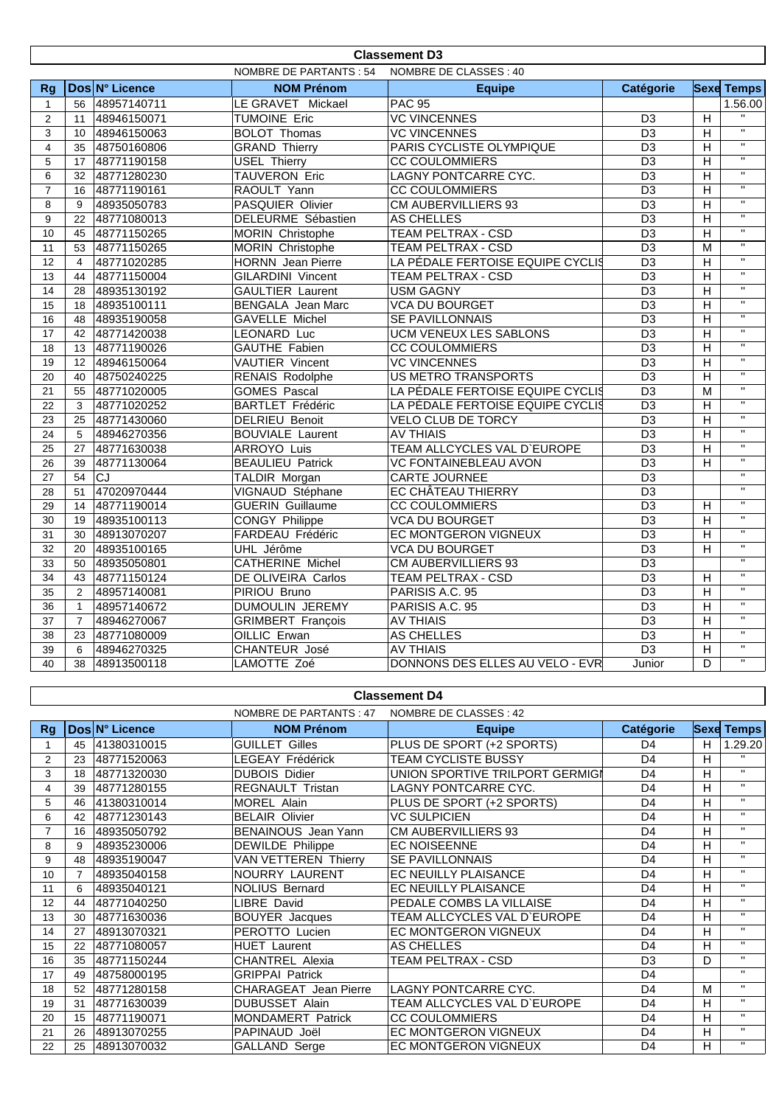|                 | <b>Classement D3</b>                              |                |                          |                                  |                  |                         |                         |  |
|-----------------|---------------------------------------------------|----------------|--------------------------|----------------------------------|------------------|-------------------------|-------------------------|--|
|                 | NOMBRE DE PARTANTS : 54<br>NOMBRE DE CLASSES : 40 |                |                          |                                  |                  |                         |                         |  |
| <b>Rg</b>       |                                                   | Dos N° Licence | <b>NOM Prénom</b>        | <b>Equipe</b>                    | <b>Catégorie</b> |                         | <b>Sexe Temps</b>       |  |
| $\mathbf{1}$    | 56                                                | 48957140711    | LE GRAVET Mickael        | <b>PAC 95</b>                    |                  |                         | 1.56.00                 |  |
| $\overline{2}$  | 11                                                | 48946150071    | <b>TUMOINE Eric</b>      | <b>VC VINCENNES</b>              | D <sub>3</sub>   | $\overline{H}$          | $\overline{u}$          |  |
| 3               | 10 <sup>1</sup>                                   | 48946150063    | <b>BOLOT Thomas</b>      | <b>VC VINCENNES</b>              | $\overline{D3}$  | $\overline{H}$          | $\overline{\mathbf{u}}$ |  |
| $\overline{4}$  | 35                                                | 48750160806    | <b>GRAND Thierry</b>     | PARIS CYCLISTE OLYMPIQUE         | D <sub>3</sub>   | $\overline{H}$          | $\mathbf{H}$            |  |
| 5               | 17                                                | 48771190158    | <b>USEL Thierry</b>      | <b>CC COULOMMIERS</b>            | $\overline{D3}$  | $\overline{H}$          | $\overline{u}$          |  |
| 6               | 32                                                | 48771280230    | <b>TAUVERON Eric</b>     | LAGNY PONTCARRE CYC.             | $\overline{D3}$  | H                       | $\overline{u}$          |  |
| $\overline{7}$  | 16                                                | 48771190161    | RAOULT Yann              | <b>CC COULOMMIERS</b>            | $\overline{D3}$  | H                       | $\overline{u}$          |  |
| $\bf 8$         | 9                                                 | 48935050783    | <b>PASQUIER Olivier</b>  | <b>CM AUBERVILLIERS 93</b>       | $\overline{D3}$  | $\overline{\mathsf{H}}$ | $\overline{\mathbf{u}}$ |  |
| 9               | 22                                                | 48771080013    | DELEURME Sébastien       | <b>AS CHELLES</b>                | $\overline{D3}$  | $\overline{H}$          | $\overline{u}$          |  |
| 10              | 45                                                | 48771150265    | <b>MORIN Christophe</b>  | TEAM PELTRAX - CSD               | $\overline{D3}$  | H                       | $\overline{u}$          |  |
| 11              | 53                                                | 48771150265    | <b>MORIN Christophe</b>  | <b>TEAM PELTRAX - CSD</b>        | $\overline{D3}$  | $\overline{M}$          | $\overline{u}$          |  |
| 12              | $\overline{4}$                                    | 48771020285    | <b>HORNN</b> Jean Pierre | LA PÉDALE FERTOISE EQUIPE CYCLIS | $\overline{D3}$  | H                       | $\overline{u}$          |  |
| 13              | 44                                                | 48771150004    | <b>GILARDINI Vincent</b> | <b>TEAM PELTRAX - CSD</b>        | $\overline{D3}$  | $\overline{H}$          | π                       |  |
| 14              | 28                                                | 48935130192    | <b>GAULTIER Laurent</b>  | <b>USM GAGNY</b>                 | $\overline{D3}$  | $\overline{H}$          | π                       |  |
| 15              | 18                                                | 48935100111    | <b>BENGALA</b> Jean Marc | <b>VCA DU BOURGET</b>            | $\overline{D3}$  | $\overline{H}$          | $\overline{\mathbf{u}}$ |  |
| 16              | 48                                                | 48935190058    | <b>GAVELLE Michel</b>    | <b>SE PAVILLONNAIS</b>           | $\overline{D3}$  | $\overline{H}$          | $\overline{\mathbf{u}}$ |  |
| 17              | 42                                                | 48771420038    | <b>LEONARD Luc</b>       | <b>UCM VENEUX LES SABLONS</b>    | D <sub>3</sub>   | H                       | $\overline{\mathbf{u}}$ |  |
| 18              | 13                                                | 48771190026    | GAUTHE Fabien            | <b>CC COULOMMIERS</b>            | $\overline{D3}$  | $\overline{H}$          | $\mathbf{u}$            |  |
| 19              | 12                                                | 48946150064    | <b>VAUTIER Vincent</b>   | <b>VC VINCENNES</b>              | $\overline{D3}$  | $\overline{H}$          | $\mathbf{H}$            |  |
| 20              | 40                                                | 48750240225    | <b>RENAIS Rodolphe</b>   | <b>US METRO TRANSPORTS</b>       | D <sub>3</sub>   | H                       | $\overline{u}$          |  |
| $\overline{21}$ | 55                                                | 48771020005    | <b>GOMES Pascal</b>      | LA PÉDALE FERTOISE EQUIPE CYCLIS | D <sub>3</sub>   | $\overline{M}$          | $\overline{u}$          |  |
| 22              | 3                                                 | 48771020252    | <b>BARTLET Frédéric</b>  | LA PÉDALE FERTOISE EQUIPE CYCLIS | $\overline{D3}$  | $\overline{H}$          | $\overline{u}$          |  |
| 23              | 25                                                | 48771430060    | <b>DELRIEU Benoit</b>    | <b>VELO CLUB DE TORCY</b>        | $\overline{D3}$  | $\overline{H}$          | $\overline{u}$          |  |
| 24              | 5                                                 | 48946270356    | <b>BOUVIALE Laurent</b>  | <b>AV THIAIS</b>                 | $\overline{D3}$  | $\overline{H}$          | $\overline{\mathbf{u}}$ |  |
| $\overline{25}$ | 27                                                | 48771630038    | <b>ARROYO Luis</b>       | TEAM ALLCYCLES VAL D'EUROPE      | $\overline{D3}$  | $\overline{H}$          | $\overline{\mathbf{u}}$ |  |
| 26              | 39                                                | 48771130064    | <b>BEAULIEU Patrick</b>  | <b>VC FONTAINEBLEAU AVON</b>     | $\overline{D3}$  | H                       | $\overline{u}$          |  |
| 27              | 54                                                | $\overline{c}$ | TALDIR Morgan            | CARTE JOURNEE                    | D <sub>3</sub>   |                         | $\overline{\mathbf{u}}$ |  |
| 28              | 51                                                | 47020970444    | VIGNAUD Stéphane         | EC CHÂTEAU THIERRY               | $\overline{D3}$  |                         | $\overline{\mathbf{u}}$ |  |
| 29              | 14                                                | 48771190014    | <b>GUERIN</b> Guillaume  | <b>CC COULOMMIERS</b>            | $\overline{D3}$  | $\overline{H}$          | π                       |  |
| 30              | 19                                                | 48935100113    | <b>CONGY Philippe</b>    | <b>VCA DU BOURGET</b>            | $\overline{D3}$  | H                       | $\overline{u}$          |  |
| 31              | 30                                                | 48913070207    | FARDEAU Frédéric         | <b>EC MONTGERON VIGNEUX</b>      | $\overline{D3}$  | $\overline{H}$          | $\overline{u}$          |  |
| 32              | 20                                                | 48935100165    | UHL Jérôme               | <b>VCA DU BOURGET</b>            | $\overline{D3}$  | $\overline{H}$          | $\overline{u}$          |  |
| 33              | 50                                                | 48935050801    | <b>CATHERINE Michel</b>  | <b>CM AUBERVILLIERS 93</b>       | $\overline{D3}$  |                         | $\overline{u}$          |  |
| 34              | 43                                                | 48771150124    | DE OLIVEIRA Carlos       | <b>TEAM PELTRAX - CSD</b>        | D <sub>3</sub>   | H                       | π                       |  |
| 35              | 2                                                 | 48957140081    | PIRIOU Bruno             | PARISIS A.C. 95                  | $\overline{D3}$  | $\overline{H}$          | $\overline{\mathbf{u}}$ |  |
| 36              | $\mathbf{1}$                                      | 48957140672    | <b>DUMOULIN JEREMY</b>   | PARISIS A.C. 95                  | D <sub>3</sub>   | $\overline{H}$          | $\overline{u}$          |  |
| 37              | $\overline{7}$                                    | 48946270067    | <b>GRIMBERT François</b> | <b>AV THIAIS</b>                 | D <sub>3</sub>   | H                       | $\overline{u}$          |  |
| 38              | 23                                                | 48771080009    | <b>OILLIC Erwan</b>      | AS CHELLES                       | $\overline{D3}$  | $\overline{H}$          | $\overline{u}$          |  |
| 39              | 6                                                 | 48946270325    | CHANTEUR José            | <b>AV THIAIS</b>                 | $\overline{D3}$  | $\overline{H}$          | $\overline{\mathbf{u}}$ |  |
| 40              | 38                                                | 48913500118    | LAMOTTE Zoé              | DONNONS DES ELLES AU VELO - EVR  | Junior           | D                       | $\overline{\mathbf{u}}$ |  |

## **Classement D4**

|                |    |                | NOMBRE DE PARTANTS : 47      | NOMBRE DE CLASSES : 42          |                  |   |                   |
|----------------|----|----------------|------------------------------|---------------------------------|------------------|---|-------------------|
| Rg             |    | Dos N° Licence | <b>NOM Prénom</b>            | <b>Equipe</b>                   | <b>Catégorie</b> |   | <b>Sexe Temps</b> |
|                | 45 | 41380310015    | <b>GUILLET Gilles</b>        | PLUS DE SPORT (+2 SPORTS)       | D <sub>4</sub>   | н | .29.20            |
| 2              | 23 | 48771520063    | LEGEAY Frédérick             | <b>TEAM CYCLISTE BUSSY</b>      | D <sub>4</sub>   | Н | $\mathbf{H}$      |
| 3              | 18 | 48771320030    | <b>DUBOIS Didier</b>         | UNION SPORTIVE TRILPORT GERMIGI | D <sub>4</sub>   | н | $\mathbf{H}$      |
| 4              | 39 | 48771280155    | <b>REGNAULT Tristan</b>      | <b>LAGNY PONTCARRE CYC.</b>     | D <sub>4</sub>   | H | $\mathbf{H}$      |
| 5              | 46 | 41380310014    | <b>MOREL Alain</b>           | PLUS DE SPORT (+2 SPORTS)       | D <sub>4</sub>   | H | $\mathbf{H}$      |
| 6              | 42 | 48771230143    | <b>BELAIR Olivier</b>        | <b>VC SULPICIEN</b>             | D <sub>4</sub>   | Н | $\mathbf{H}$      |
| $\overline{7}$ | 16 | 48935050792    | BENAINOUS Jean Yann          | <b>CM AUBERVILLIERS 93</b>      | D <sub>4</sub>   | Н | $\mathbf{H}$      |
| 8              | 9  | 48935230006    | <b>DEWILDE Philippe</b>      | <b>EC NOISEENNE</b>             | D <sub>4</sub>   | н | $\mathbf{H}$      |
| 9              | 48 | 48935190047    | VAN VETTEREN Thierry         | <b>SE PAVILLONNAIS</b>          | D <sub>4</sub>   | H | $\mathbf{H}$      |
| 10             | 7  | 48935040158    | NOURRY LAURENT               | EC NEUILLY PLAISANCE            | D <sub>4</sub>   | н | $\mathbf{H}$      |
| 11             | 6  | 48935040121    | <b>NOLIUS Bernard</b>        | EC NEUILLY PLAISANCE            | D <sub>4</sub>   | н | $\mathbf{H}$      |
| 12             | 44 | 48771040250    | <b>LIBRE David</b>           | PEDALE COMBS LA VILLAISE        | D <sub>4</sub>   | н | $\mathbf{H}$      |
| 13             | 30 | 48771630036    | <b>BOUYER</b> Jacques        | TEAM ALLCYCLES VAL D`EUROPE     | D <sub>4</sub>   | н | $\mathbf{H}$      |
| 14             | 27 | 48913070321    | PEROTTO Lucien               | <b>EC MONTGERON VIGNEUX</b>     | D <sub>4</sub>   | н | $\mathbf{H}$      |
| 15             | 22 | 48771080057    | <b>HUET Laurent</b>          | AS CHELLES                      | D <sub>4</sub>   | н | $\mathbf{H}$      |
| 16             | 35 | 48771150244    | CHANTREL Alexia              | TEAM PELTRAX - CSD              | D <sub>3</sub>   | D | $\mathbf{H}$      |
| 17             | 49 | 48758000195    | <b>GRIPPAI Patrick</b>       |                                 | D <sub>4</sub>   |   | $\mathbf{H}$      |
| 18             | 52 | 48771280158    | <b>CHARAGEAT</b> Jean Pierre | LAGNY PONTCARRE CYC.            | D <sub>4</sub>   | M | $\mathbf{H}$      |
| 19             | 31 | 48771630039    | <b>DUBUSSET Alain</b>        | TEAM ALLCYCLES VAL D'EUROPE     | D <sub>4</sub>   | Н | $\mathbf{H}$      |
| 20             | 15 | 48771190071    | MONDAMERT Patrick            | <b>CC COULOMMIERS</b>           | D <sub>4</sub>   | н | $\mathbf{H}$      |
| 21             | 26 | 48913070255    | PAPINAUD Joël                | <b>EC MONTGERON VIGNEUX</b>     | D <sub>4</sub>   | н | $\mathbf{H}$      |
| 22             | 25 | 48913070032    | <b>GALLAND Serge</b>         | <b>EC MONTGERON VIGNEUX</b>     | D <sub>4</sub>   | н |                   |